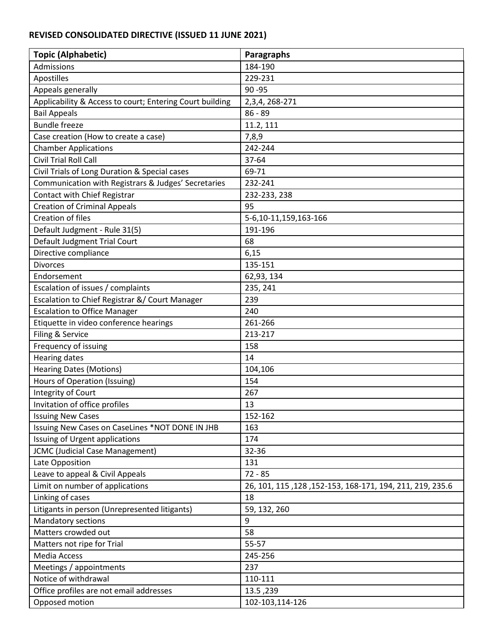## **REVISED CONSOLIDATED DIRECTIVE (ISSUED 11 JUNE 2021)**

| <b>Topic (Alphabetic)</b>                                | <b>Paragraphs</b>                                         |
|----------------------------------------------------------|-----------------------------------------------------------|
| Admissions                                               | 184-190                                                   |
| Apostilles                                               | 229-231                                                   |
| Appeals generally                                        | $90 - 95$                                                 |
| Applicability & Access to court; Entering Court building | 2, 3, 4, 268 - 271                                        |
| <b>Bail Appeals</b>                                      | $86 - 89$                                                 |
| <b>Bundle freeze</b>                                     | 11.2, 111                                                 |
| Case creation (How to create a case)                     | 7,8,9                                                     |
| <b>Chamber Applications</b>                              | 242-244                                                   |
| <b>Civil Trial Roll Call</b>                             | 37-64                                                     |
| Civil Trials of Long Duration & Special cases            | 69-71                                                     |
| Communication with Registrars & Judges' Secretaries      | 232-241                                                   |
| Contact with Chief Registrar                             | 232-233, 238                                              |
| <b>Creation of Criminal Appeals</b>                      | 95                                                        |
| <b>Creation of files</b>                                 | 5-6,10-11,159,163-166                                     |
| Default Judgment - Rule 31(5)                            | 191-196                                                   |
| Default Judgment Trial Court                             | 68                                                        |
| Directive compliance                                     | 6,15                                                      |
| <b>Divorces</b>                                          | 135-151                                                   |
| Endorsement                                              | 62,93, 134                                                |
| Escalation of issues / complaints                        | 235, 241                                                  |
| Escalation to Chief Registrar &/ Court Manager           | 239                                                       |
| <b>Escalation to Office Manager</b>                      | 240                                                       |
| Etiquette in video conference hearings                   | 261-266                                                   |
| Filing & Service                                         | 213-217                                                   |
| Frequency of issuing                                     | 158                                                       |
| <b>Hearing dates</b>                                     | 14                                                        |
| <b>Hearing Dates (Motions)</b>                           | 104,106                                                   |
| Hours of Operation (Issuing)                             | 154                                                       |
| Integrity of Court                                       | 267                                                       |
| Invitation of office profiles                            | 13                                                        |
| <b>Issuing New Cases</b>                                 | 152-162                                                   |
| Issuing New Cases on CaseLines *NOT DONE IN JHB          | 163                                                       |
| Issuing of Urgent applications                           | 174                                                       |
| <b>JCMC (Judicial Case Management)</b>                   | 32-36                                                     |
| Late Opposition                                          | 131                                                       |
| Leave to appeal & Civil Appeals                          | $72 - 85$                                                 |
| Limit on number of applications                          | 26, 101, 115, 128, 152-153, 168-171, 194, 211, 219, 235.6 |
| Linking of cases                                         | 18                                                        |
| Litigants in person (Unrepresented litigants)            | 59, 132, 260                                              |
| Mandatory sections                                       | 9                                                         |
| Matters crowded out                                      | 58                                                        |
| Matters not ripe for Trial                               | 55-57                                                     |
| Media Access                                             | 245-256                                                   |
| Meetings / appointments                                  | 237                                                       |
| Notice of withdrawal                                     | 110-111                                                   |
| Office profiles are not email addresses                  | 13.5, 239                                                 |
| Opposed motion                                           | 102-103,114-126                                           |